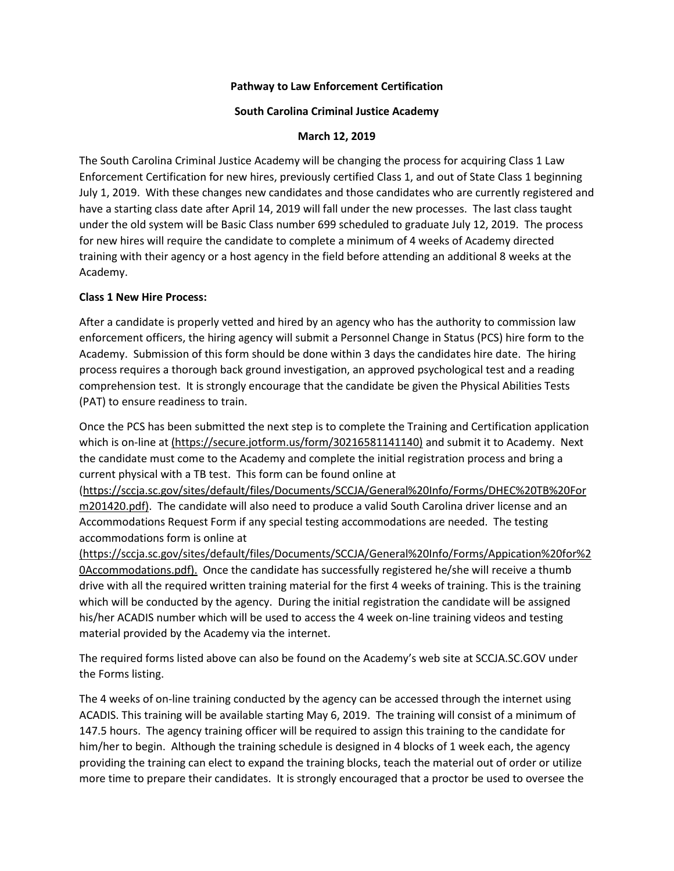#### **Pathway to Law Enforcement Certification**

#### **South Carolina Criminal Justice Academy**

#### **March 12, 2019**

The South Carolina Criminal Justice Academy will be changing the process for acquiring Class 1 Law Enforcement Certification for new hires, previously certified Class 1, and out of State Class 1 beginning July 1, 2019. With these changes new candidates and those candidates who are currently registered and have a starting class date after April 14, 2019 will fall under the new processes. The last class taught under the old system will be Basic Class number 699 scheduled to graduate July 12, 2019. The process for new hires will require the candidate to complete a minimum of 4 weeks of Academy directed training with their agency or a host agency in the field before attending an additional 8 weeks at the Academy.

#### **Class 1 New Hire Process:**

After a candidate is properly vetted and hired by an agency who has the authority to commission law enforcement officers, the hiring agency will submit a Personnel Change in Status (PCS) hire form to the Academy. Submission of this form should be done within 3 days the candidates hire date. The hiring process requires a thorough back ground investigation, an approved psychological test and a reading comprehension test. It is strongly encourage that the candidate be given the Physical Abilities Tests (PAT) to ensure readiness to train.

Once the PCS has been submitted the next step is to complete the Training and Certification application which is on-line at (https://secure.jotform.us/form/30216581141140) and submit it to Academy. Next the candidate must come to the Academy and complete the initial registration process and bring a current physical with a TB test. This form can be found online at

(https://sccja.sc.gov/sites/default/files/Documents/SCCJA/General%20Info/Forms/DHEC%20TB%20For m201420.pdf). The candidate will also need to produce a valid South Carolina driver license and an Accommodations Request Form if any special testing accommodations are needed. The testing accommodations form is online at

(https://sccja.sc.gov/sites/default/files/Documents/SCCJA/General%20Info/Forms/Appication%20for%2 0Accommodations.pdf). Once the candidate has successfully registered he/she will receive a thumb drive with all the required written training material for the first 4 weeks of training. This is the training which will be conducted by the agency. During the initial registration the candidate will be assigned his/her ACADIS number which will be used to access the 4 week on-line training videos and testing material provided by the Academy via the internet.

The required forms listed above can also be found on the Academy's web site at SCCJA.SC.GOV under the Forms listing.

The 4 weeks of on-line training conducted by the agency can be accessed through the internet using ACADIS. This training will be available starting May 6, 2019. The training will consist of a minimum of 147.5 hours. The agency training officer will be required to assign this training to the candidate for him/her to begin. Although the training schedule is designed in 4 blocks of 1 week each, the agency providing the training can elect to expand the training blocks, teach the material out of order or utilize more time to prepare their candidates. It is strongly encouraged that a proctor be used to oversee the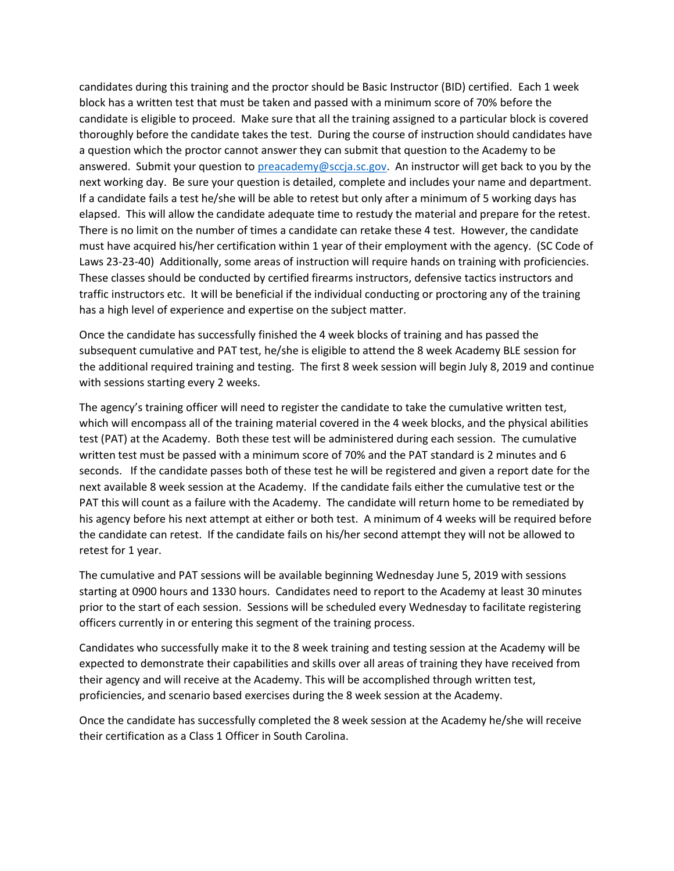candidates during this training and the proctor should be Basic Instructor (BID) certified. Each 1 week block has a written test that must be taken and passed with a minimum score of 70% before the candidate is eligible to proceed. Make sure that all the training assigned to a particular block is covered thoroughly before the candidate takes the test. During the course of instruction should candidates have a question which the proctor cannot answer they can submit that question to the Academy to be answered. Submit your question to [preacademy@sccja.sc.gov.](mailto:preacademy@sccja.sc.gov) An instructor will get back to you by the next working day. Be sure your question is detailed, complete and includes your name and department. If a candidate fails a test he/she will be able to retest but only after a minimum of 5 working days has elapsed. This will allow the candidate adequate time to restudy the material and prepare for the retest. There is no limit on the number of times a candidate can retake these 4 test. However, the candidate must have acquired his/her certification within 1 year of their employment with the agency. (SC Code of Laws 23-23-40) Additionally, some areas of instruction will require hands on training with proficiencies. These classes should be conducted by certified firearms instructors, defensive tactics instructors and traffic instructors etc. It will be beneficial if the individual conducting or proctoring any of the training has a high level of experience and expertise on the subject matter.

Once the candidate has successfully finished the 4 week blocks of training and has passed the subsequent cumulative and PAT test, he/she is eligible to attend the 8 week Academy BLE session for the additional required training and testing. The first 8 week session will begin July 8, 2019 and continue with sessions starting every 2 weeks.

The agency's training officer will need to register the candidate to take the cumulative written test, which will encompass all of the training material covered in the 4 week blocks, and the physical abilities test (PAT) at the Academy. Both these test will be administered during each session. The cumulative written test must be passed with a minimum score of 70% and the PAT standard is 2 minutes and 6 seconds. If the candidate passes both of these test he will be registered and given a report date for the next available 8 week session at the Academy. If the candidate fails either the cumulative test or the PAT this will count as a failure with the Academy. The candidate will return home to be remediated by his agency before his next attempt at either or both test. A minimum of 4 weeks will be required before the candidate can retest. If the candidate fails on his/her second attempt they will not be allowed to retest for 1 year.

The cumulative and PAT sessions will be available beginning Wednesday June 5, 2019 with sessions starting at 0900 hours and 1330 hours. Candidates need to report to the Academy at least 30 minutes prior to the start of each session. Sessions will be scheduled every Wednesday to facilitate registering officers currently in or entering this segment of the training process.

Candidates who successfully make it to the 8 week training and testing session at the Academy will be expected to demonstrate their capabilities and skills over all areas of training they have received from their agency and will receive at the Academy. This will be accomplished through written test, proficiencies, and scenario based exercises during the 8 week session at the Academy.

Once the candidate has successfully completed the 8 week session at the Academy he/she will receive their certification as a Class 1 Officer in South Carolina.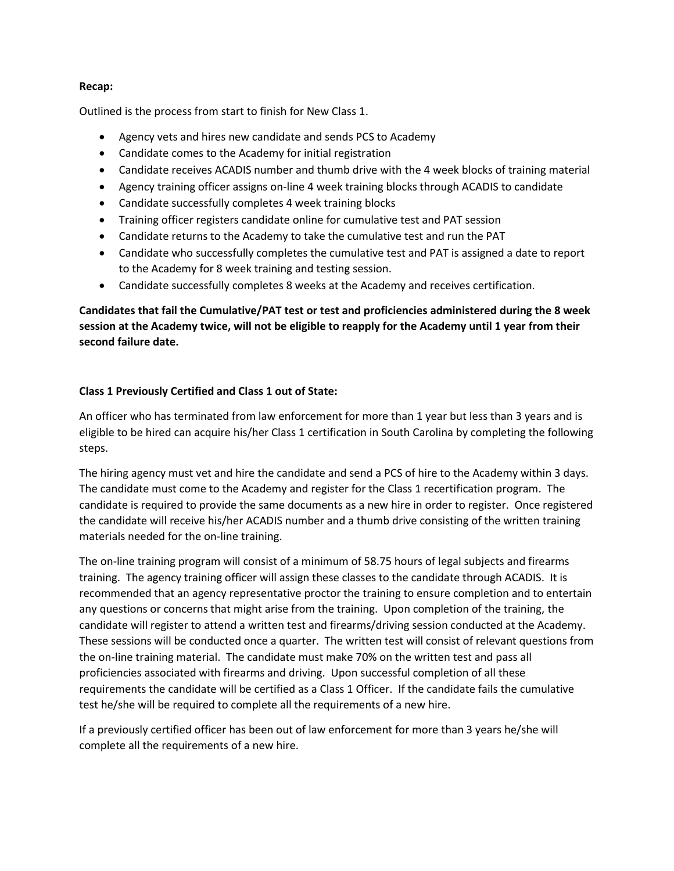#### **Recap:**

Outlined is the process from start to finish for New Class 1.

- Agency vets and hires new candidate and sends PCS to Academy
- Candidate comes to the Academy for initial registration
- Candidate receives ACADIS number and thumb drive with the 4 week blocks of training material
- Agency training officer assigns on-line 4 week training blocks through ACADIS to candidate
- Candidate successfully completes 4 week training blocks
- Training officer registers candidate online for cumulative test and PAT session
- Candidate returns to the Academy to take the cumulative test and run the PAT
- Candidate who successfully completes the cumulative test and PAT is assigned a date to report to the Academy for 8 week training and testing session.
- Candidate successfully completes 8 weeks at the Academy and receives certification.

**Candidates that fail the Cumulative/PAT test or test and proficiencies administered during the 8 week session at the Academy twice, will not be eligible to reapply for the Academy until 1 year from their second failure date.** 

# **Class 1 Previously Certified and Class 1 out of State:**

An officer who has terminated from law enforcement for more than 1 year but less than 3 years and is eligible to be hired can acquire his/her Class 1 certification in South Carolina by completing the following steps.

The hiring agency must vet and hire the candidate and send a PCS of hire to the Academy within 3 days. The candidate must come to the Academy and register for the Class 1 recertification program. The candidate is required to provide the same documents as a new hire in order to register. Once registered the candidate will receive his/her ACADIS number and a thumb drive consisting of the written training materials needed for the on-line training.

The on-line training program will consist of a minimum of 58.75 hours of legal subjects and firearms training. The agency training officer will assign these classes to the candidate through ACADIS. It is recommended that an agency representative proctor the training to ensure completion and to entertain any questions or concerns that might arise from the training. Upon completion of the training, the candidate will register to attend a written test and firearms/driving session conducted at the Academy. These sessions will be conducted once a quarter. The written test will consist of relevant questions from the on-line training material. The candidate must make 70% on the written test and pass all proficiencies associated with firearms and driving. Upon successful completion of all these requirements the candidate will be certified as a Class 1 Officer. If the candidate fails the cumulative test he/she will be required to complete all the requirements of a new hire.

If a previously certified officer has been out of law enforcement for more than 3 years he/she will complete all the requirements of a new hire.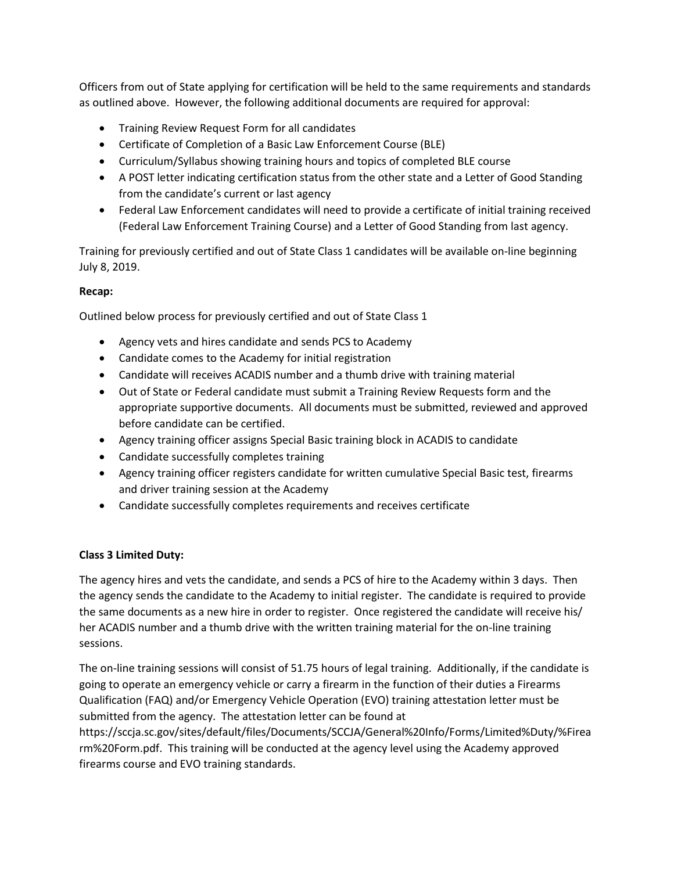Officers from out of State applying for certification will be held to the same requirements and standards as outlined above. However, the following additional documents are required for approval:

- Training Review Request Form for all candidates
- Certificate of Completion of a Basic Law Enforcement Course (BLE)
- Curriculum/Syllabus showing training hours and topics of completed BLE course
- A POST letter indicating certification status from the other state and a Letter of Good Standing from the candidate's current or last agency
- Federal Law Enforcement candidates will need to provide a certificate of initial training received (Federal Law Enforcement Training Course) and a Letter of Good Standing from last agency.

Training for previously certified and out of State Class 1 candidates will be available on-line beginning July 8, 2019.

## **Recap:**

Outlined below process for previously certified and out of State Class 1

- Agency vets and hires candidate and sends PCS to Academy
- Candidate comes to the Academy for initial registration
- Candidate will receives ACADIS number and a thumb drive with training material
- Out of State or Federal candidate must submit a Training Review Requests form and the appropriate supportive documents. All documents must be submitted, reviewed and approved before candidate can be certified.
- Agency training officer assigns Special Basic training block in ACADIS to candidate
- Candidate successfully completes training
- Agency training officer registers candidate for written cumulative Special Basic test, firearms and driver training session at the Academy
- Candidate successfully completes requirements and receives certificate

### **Class 3 Limited Duty:**

The agency hires and vets the candidate, and sends a PCS of hire to the Academy within 3 days. Then the agency sends the candidate to the Academy to initial register. The candidate is required to provide the same documents as a new hire in order to register. Once registered the candidate will receive his/ her ACADIS number and a thumb drive with the written training material for the on-line training sessions.

The on-line training sessions will consist of 51.75 hours of legal training. Additionally, if the candidate is going to operate an emergency vehicle or carry a firearm in the function of their duties a Firearms Qualification (FAQ) and/or Emergency Vehicle Operation (EVO) training attestation letter must be submitted from the agency. The attestation letter can be found at https://sccja.sc.gov/sites/default/files/Documents/SCCJA/General%20Info/Forms/Limited%Duty/%Firea rm%20Form.pdf. This training will be conducted at the agency level using the Academy approved firearms course and EVO training standards.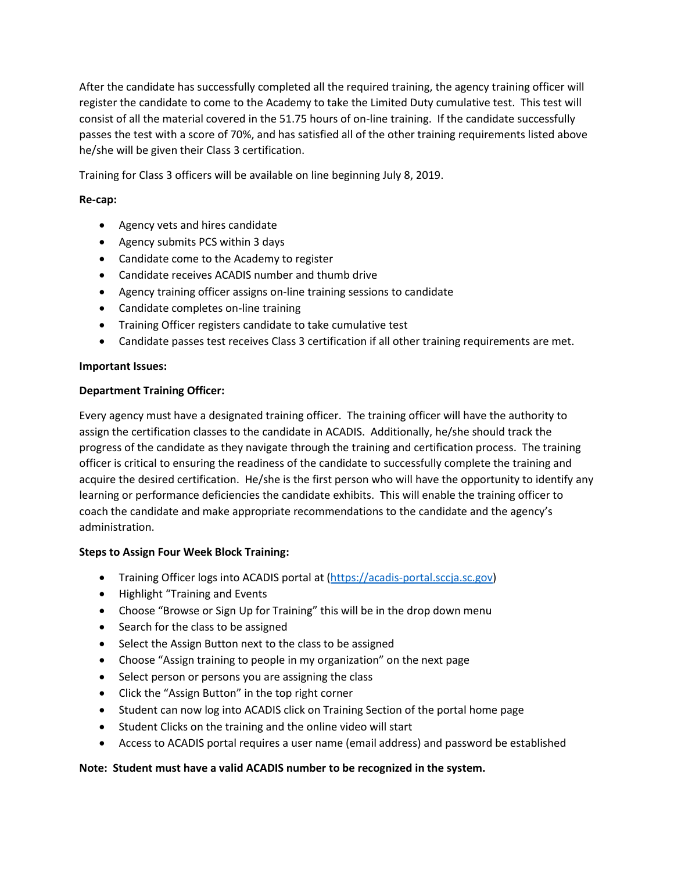After the candidate has successfully completed all the required training, the agency training officer will register the candidate to come to the Academy to take the Limited Duty cumulative test. This test will consist of all the material covered in the 51.75 hours of on-line training. If the candidate successfully passes the test with a score of 70%, and has satisfied all of the other training requirements listed above he/she will be given their Class 3 certification.

Training for Class 3 officers will be available on line beginning July 8, 2019.

## **Re-cap:**

- Agency vets and hires candidate
- Agency submits PCS within 3 days
- Candidate come to the Academy to register
- Candidate receives ACADIS number and thumb drive
- Agency training officer assigns on-line training sessions to candidate
- Candidate completes on-line training
- Training Officer registers candidate to take cumulative test
- Candidate passes test receives Class 3 certification if all other training requirements are met.

### **Important Issues:**

## **Department Training Officer:**

Every agency must have a designated training officer. The training officer will have the authority to assign the certification classes to the candidate in ACADIS. Additionally, he/she should track the progress of the candidate as they navigate through the training and certification process. The training officer is critical to ensuring the readiness of the candidate to successfully complete the training and acquire the desired certification. He/she is the first person who will have the opportunity to identify any learning or performance deficiencies the candidate exhibits. This will enable the training officer to coach the candidate and make appropriate recommendations to the candidate and the agency's administration.

# **Steps to Assign Four Week Block Training:**

- Training Officer logs into ACADIS portal at [\(https://acadis-portal.sccja.sc.gov\)](https://acadis-portal.sccja.sc.gov/)
- Highlight "Training and Events
- Choose "Browse or Sign Up for Training" this will be in the drop down menu
- Search for the class to be assigned
- Select the Assign Button next to the class to be assigned
- Choose "Assign training to people in my organization" on the next page
- Select person or persons you are assigning the class
- Click the "Assign Button" in the top right corner
- Student can now log into ACADIS click on Training Section of the portal home page
- Student Clicks on the training and the online video will start
- Access to ACADIS portal requires a user name (email address) and password be established

### **Note: Student must have a valid ACADIS number to be recognized in the system.**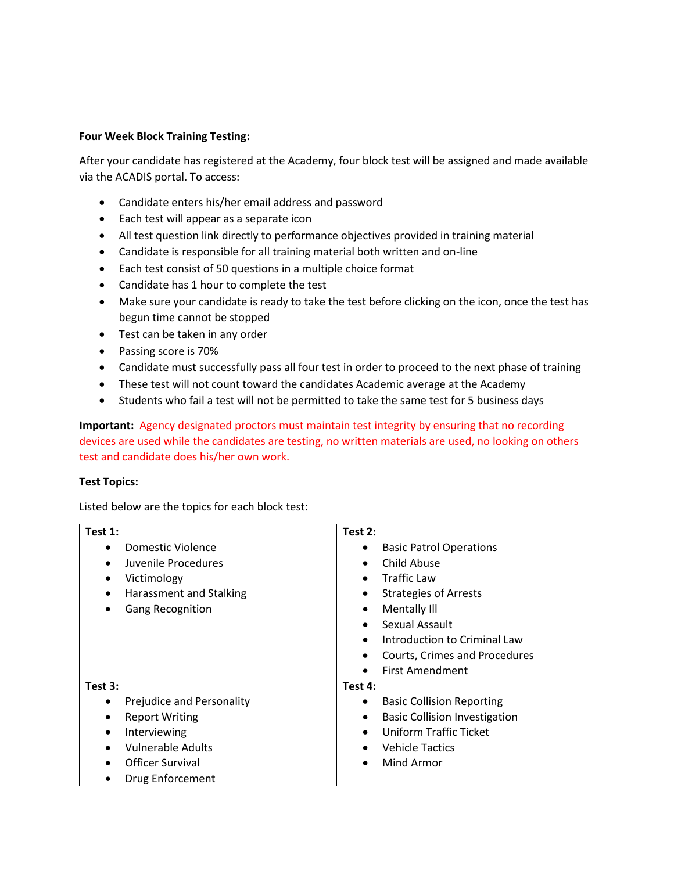### **Four Week Block Training Testing:**

After your candidate has registered at the Academy, four block test will be assigned and made available via the ACADIS portal. To access:

- Candidate enters his/her email address and password
- Each test will appear as a separate icon
- All test question link directly to performance objectives provided in training material
- Candidate is responsible for all training material both written and on-line
- Each test consist of 50 questions in a multiple choice format
- Candidate has 1 hour to complete the test
- Make sure your candidate is ready to take the test before clicking on the icon, once the test has begun time cannot be stopped
- Test can be taken in any order
- Passing score is 70%
- Candidate must successfully pass all four test in order to proceed to the next phase of training
- These test will not count toward the candidates Academic average at the Academy
- Students who fail a test will not be permitted to take the same test for 5 business days

**Important:** Agency designated proctors must maintain test integrity by ensuring that no recording devices are used while the candidates are testing, no written materials are used, no looking on others test and candidate does his/her own work.

#### **Test Topics:**

Listed below are the topics for each block test:

| Test 1:                              | Test 2:                                           |  |  |
|--------------------------------------|---------------------------------------------------|--|--|
| Domestic Violence                    | <b>Basic Patrol Operations</b><br>٠               |  |  |
| Juvenile Procedures<br>$\bullet$     | Child Abuse<br>$\bullet$                          |  |  |
| Victimology                          | Traffic Law<br>$\bullet$                          |  |  |
| Harassment and Stalking<br>٠         | <b>Strategies of Arrests</b><br>$\bullet$         |  |  |
| <b>Gang Recognition</b><br>$\bullet$ | Mentally Ill<br>$\bullet$                         |  |  |
|                                      | Sexual Assault<br>$\bullet$                       |  |  |
|                                      | Introduction to Criminal Law<br>$\bullet$         |  |  |
|                                      | Courts, Crimes and Procedures<br>$\bullet$        |  |  |
|                                      | <b>First Amendment</b><br>$\bullet$               |  |  |
| Test 3:                              | Test 4:                                           |  |  |
| Prejudice and Personality            | <b>Basic Collision Reporting</b><br>٠             |  |  |
| <b>Report Writing</b>                | <b>Basic Collision Investigation</b><br>$\bullet$ |  |  |
| Interviewing<br>٠                    | Uniform Traffic Ticket<br>$\bullet$               |  |  |
| Vulnerable Adults                    | <b>Vehicle Tactics</b><br>$\bullet$               |  |  |
| Officer Survival                     | Mind Armor<br>$\bullet$                           |  |  |
| Drug Enforcement                     |                                                   |  |  |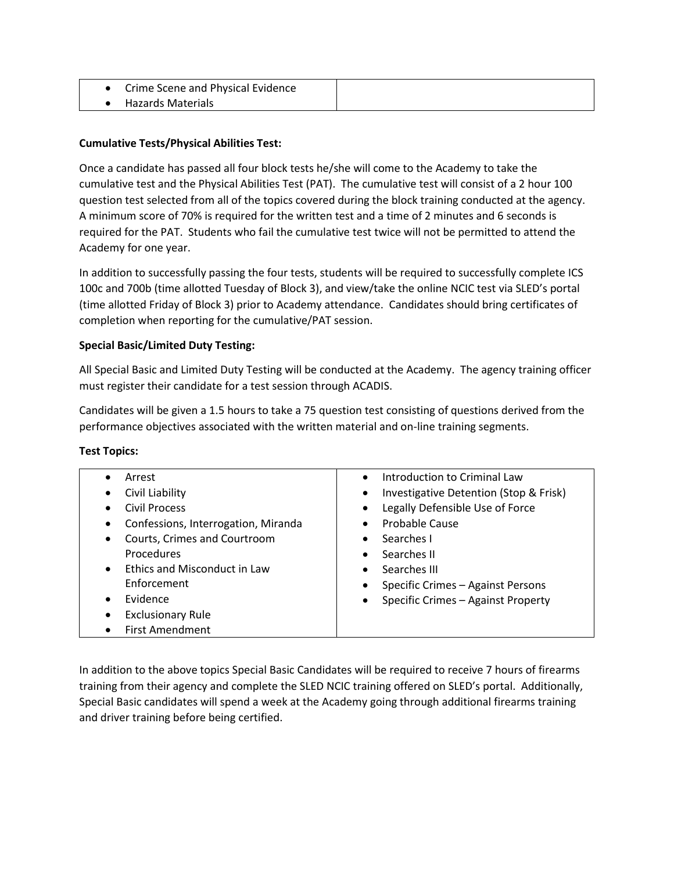| Crime Scene and Physical Evidence |  |
|-----------------------------------|--|
| Hazards Materials                 |  |

# **Cumulative Tests/Physical Abilities Test:**

Once a candidate has passed all four block tests he/she will come to the Academy to take the cumulative test and the Physical Abilities Test (PAT). The cumulative test will consist of a 2 hour 100 question test selected from all of the topics covered during the block training conducted at the agency. A minimum score of 70% is required for the written test and a time of 2 minutes and 6 seconds is required for the PAT. Students who fail the cumulative test twice will not be permitted to attend the Academy for one year.

In addition to successfully passing the four tests, students will be required to successfully complete ICS 100c and 700b (time allotted Tuesday of Block 3), and view/take the online NCIC test via SLED's portal (time allotted Friday of Block 3) prior to Academy attendance. Candidates should bring certificates of completion when reporting for the cumulative/PAT session.

## **Special Basic/Limited Duty Testing:**

All Special Basic and Limited Duty Testing will be conducted at the Academy. The agency training officer must register their candidate for a test session through ACADIS.

Candidates will be given a 1.5 hours to take a 75 question test consisting of questions derived from the performance objectives associated with the written material and on-line training segments.

### **Test Topics:**

| Arrest                                    | Introduction to Criminal Law<br>$\bullet$           |
|-------------------------------------------|-----------------------------------------------------|
| Civil Liability                           | Investigative Detention (Stop & Frisk)<br>$\bullet$ |
| <b>Civil Process</b>                      | Legally Defensible Use of Force<br>$\bullet$        |
| Confessions, Interrogation, Miranda       | Probable Cause<br>$\bullet$                         |
| Courts, Crimes and Courtroom              | Searches I<br>$\bullet$                             |
| Procedures                                | Searches II<br>$\bullet$                            |
| Ethics and Misconduct in Law<br>$\bullet$ | Searches III<br>$\bullet$                           |
| Enforcement                               | Specific Crimes - Against Persons                   |
| Evidence                                  | Specific Crimes - Against Property<br>$\bullet$     |
| <b>Exclusionary Rule</b>                  |                                                     |
| <b>First Amendment</b>                    |                                                     |
|                                           |                                                     |

In addition to the above topics Special Basic Candidates will be required to receive 7 hours of firearms training from their agency and complete the SLED NCIC training offered on SLED's portal. Additionally, Special Basic candidates will spend a week at the Academy going through additional firearms training and driver training before being certified.